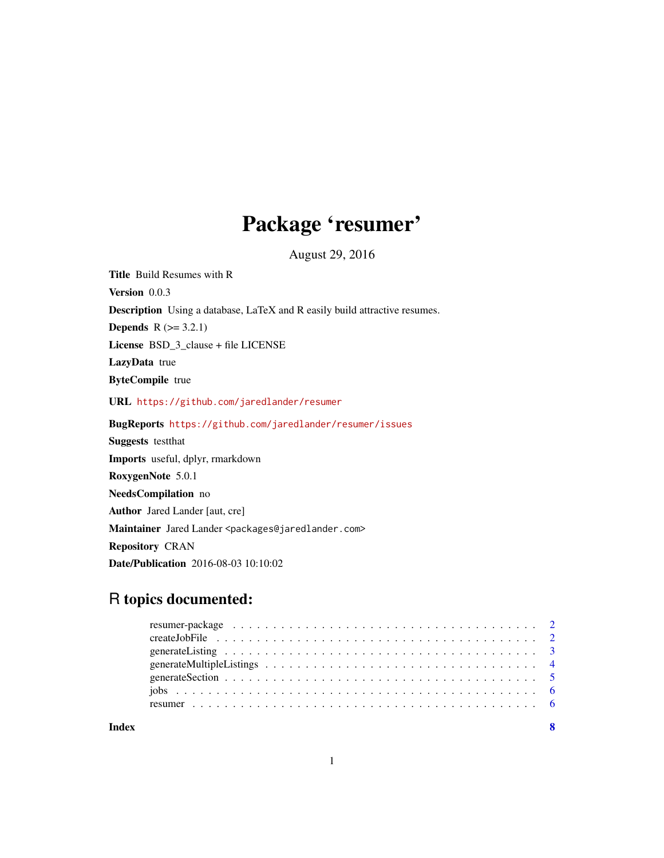## Package 'resumer'

August 29, 2016

<span id="page-0-0"></span>Title Build Resumes with R Version 0.0.3 Description Using a database, LaTeX and R easily build attractive resumes. **Depends**  $R$  ( $>= 3.2.1$ ) License BSD\_3\_clause + file LICENSE LazyData true ByteCompile true URL <https://github.com/jaredlander/resumer> BugReports <https://github.com/jaredlander/resumer/issues> Suggests testthat Imports useful, dplyr, rmarkdown RoxygenNote 5.0.1 NeedsCompilation no Author Jared Lander [aut, cre] Maintainer Jared Lander <packages@jaredlander.com> Repository CRAN Date/Publication 2016-08-03 10:10:02

## R topics documented:

| resumer-package $\ldots \ldots \ldots \ldots \ldots \ldots \ldots \ldots \ldots \ldots \ldots \ldots \ldots$ |  |
|--------------------------------------------------------------------------------------------------------------|--|
|                                                                                                              |  |
|                                                                                                              |  |
|                                                                                                              |  |
|                                                                                                              |  |
|                                                                                                              |  |
|                                                                                                              |  |
|                                                                                                              |  |

**Index** [8](#page-7-0) **8**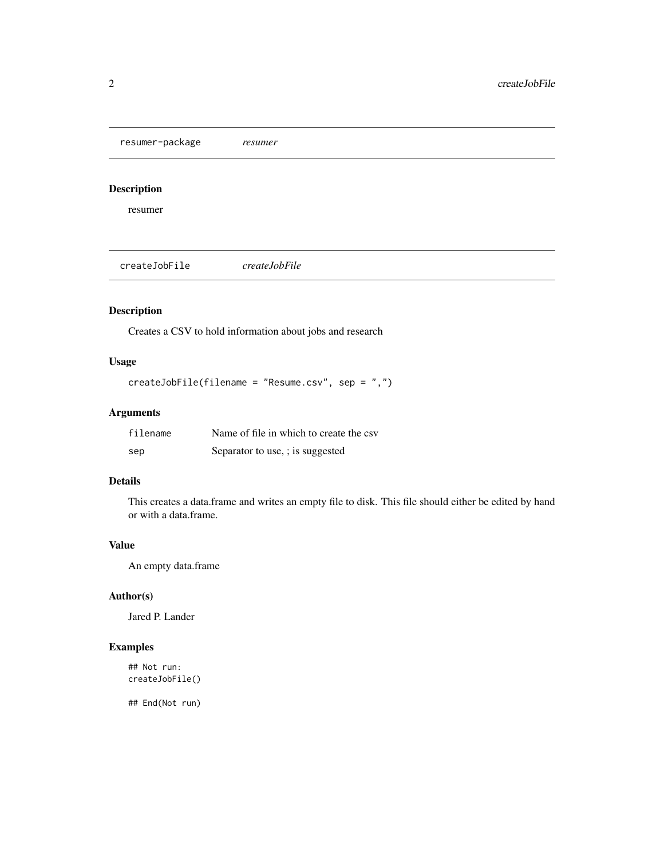<span id="page-1-0"></span>resumer-package *resumer*

#### Description

resumer

createJobFile *createJobFile*

## Description

Creates a CSV to hold information about jobs and research

## Usage

```
createJobFile(filename = "Resume.csv", sep = ",")
```
## Arguments

| filename | Name of file in which to create the csv |
|----------|-----------------------------------------|
| sep      | Separator to use, ; is suggested        |

#### Details

This creates a data.frame and writes an empty file to disk. This file should either be edited by hand or with a data.frame.

#### Value

An empty data.frame

## Author(s)

Jared P. Lander

#### Examples

## Not run: createJobFile()

## End(Not run)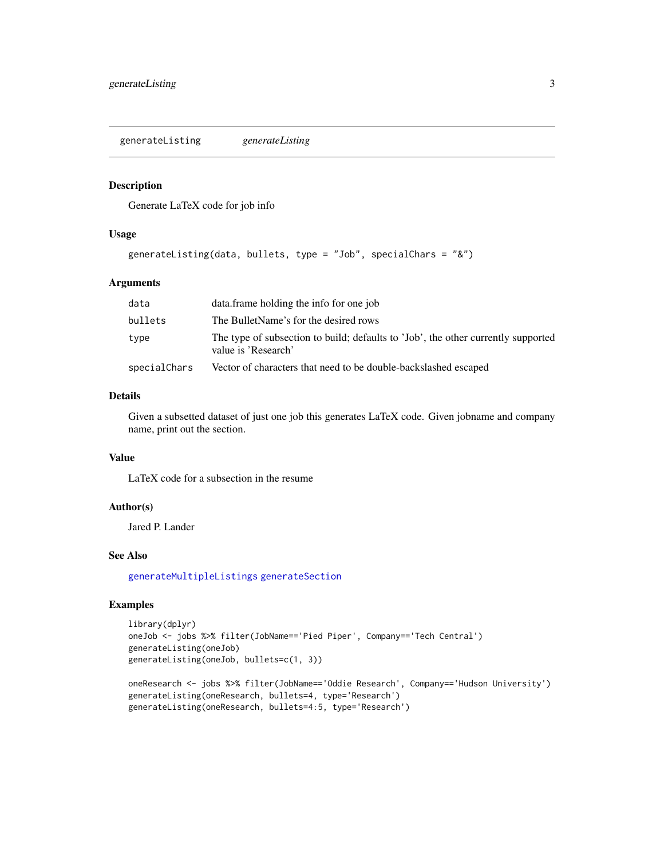<span id="page-2-1"></span><span id="page-2-0"></span>generateListing *generateListing*

#### Description

Generate LaTeX code for job info

#### Usage

```
generateListing(data, bullets, type = "Job", specialChars = "&")
```
#### Arguments

| data         | data. frame holding the info for one job                                                                 |
|--------------|----------------------------------------------------------------------------------------------------------|
| bullets      | The BulletName's for the desired rows                                                                    |
| type         | The type of subsection to build; defaults to 'Job', the other currently supported<br>value is 'Research' |
| specialChars | Vector of characters that need to be double-backslashed escaped                                          |

#### Details

Given a subsetted dataset of just one job this generates LaTeX code. Given jobname and company name, print out the section.

#### Value

LaTeX code for a subsection in the resume

## Author(s)

Jared P. Lander

#### See Also

[generateMultipleListings](#page-3-1) [generateSection](#page-4-1)

#### Examples

```
library(dplyr)
oneJob <- jobs %>% filter(JobName=='Pied Piper', Company=='Tech Central')
generateListing(oneJob)
generateListing(oneJob, bullets=c(1, 3))
```

```
oneResearch <- jobs %>% filter(JobName=='Oddie Research', Company=='Hudson University')
generateListing(oneResearch, bullets=4, type='Research')
generateListing(oneResearch, bullets=4:5, type='Research')
```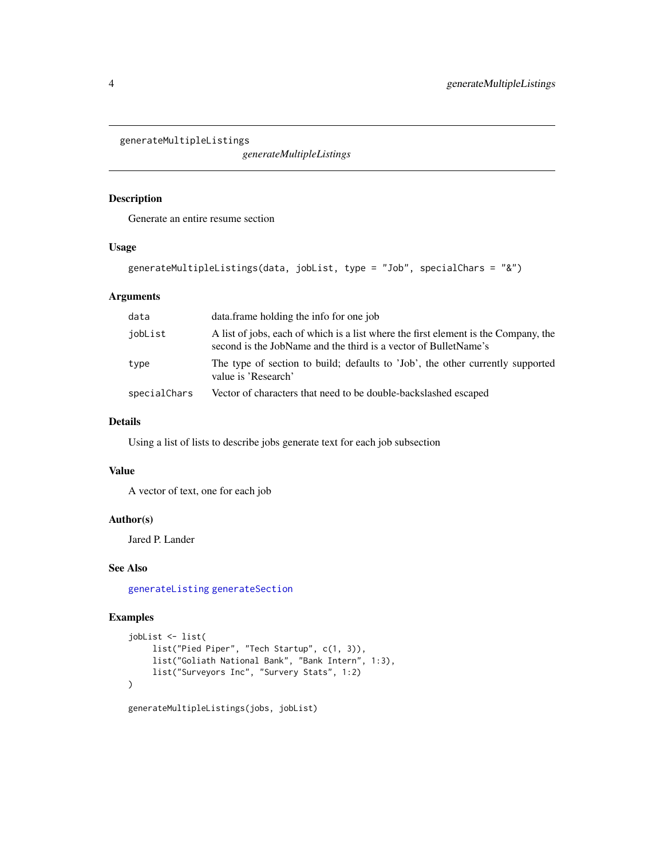<span id="page-3-1"></span><span id="page-3-0"></span>generateMultipleListings

*generateMultipleListings*

#### Description

Generate an entire resume section

#### Usage

```
generateMultipleListings(data, jobList, type = "Job", specialChars = "&")
```
#### Arguments

| data         | data.frame holding the info for one job                                                                                                                |
|--------------|--------------------------------------------------------------------------------------------------------------------------------------------------------|
| jobList      | A list of jobs, each of which is a list where the first element is the Company, the<br>second is the JobName and the third is a vector of BulletName's |
| type         | The type of section to build; defaults to 'Job', the other currently supported<br>value is 'Research'                                                  |
| specialChars | Vector of characters that need to be double-backslashed escaped                                                                                        |

#### Details

Using a list of lists to describe jobs generate text for each job subsection

#### Value

A vector of text, one for each job

#### Author(s)

Jared P. Lander

#### See Also

[generateListing](#page-2-1) [generateSection](#page-4-1)

#### Examples

```
jobList <- list(
    list("Pied Piper", "Tech Startup", c(1, 3)),
    list("Goliath National Bank", "Bank Intern", 1:3),
    list("Surveyors Inc", "Survery Stats", 1:2)
)
```
generateMultipleListings(jobs, jobList)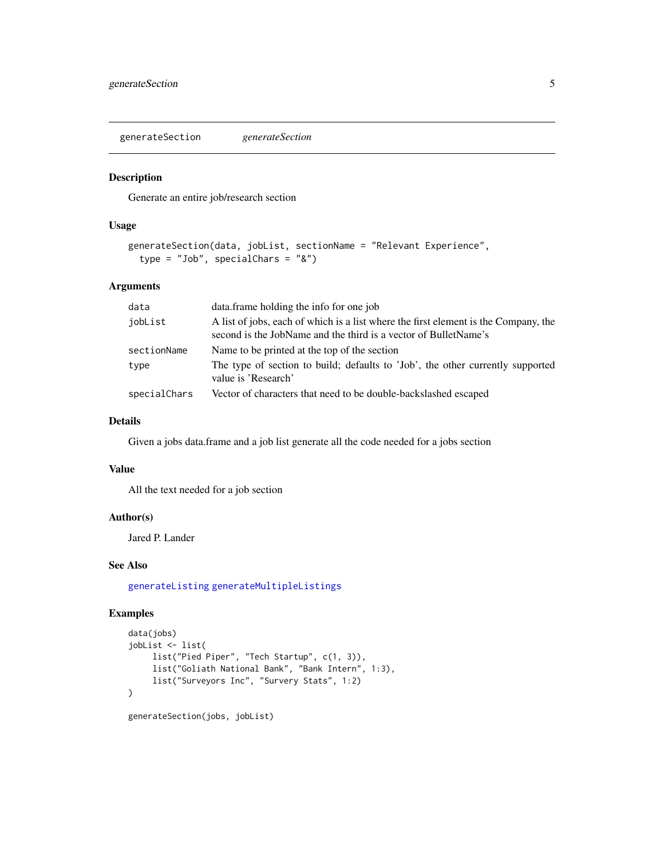<span id="page-4-1"></span><span id="page-4-0"></span>generateSection *generateSection*

#### Description

Generate an entire job/research section

#### Usage

```
generateSection(data, jobList, sectionName = "Relevant Experience",
  type = "Job", specialChars = "&")
```
#### Arguments

| data         | data. frame holding the info for one job                                                                                                               |
|--------------|--------------------------------------------------------------------------------------------------------------------------------------------------------|
| jobList      | A list of jobs, each of which is a list where the first element is the Company, the<br>second is the JobName and the third is a vector of BulletName's |
| sectionName  | Name to be printed at the top of the section                                                                                                           |
| type         | The type of section to build; defaults to 'Job', the other currently supported<br>value is 'Research'                                                  |
| specialChars | Vector of characters that need to be double-backslashed escaped                                                                                        |

#### Details

Given a jobs data.frame and a job list generate all the code needed for a jobs section

#### Value

All the text needed for a job section

#### Author(s)

Jared P. Lander

#### See Also

[generateListing](#page-2-1) [generateMultipleListings](#page-3-1)

## Examples

```
data(jobs)
jobList <- list(
     list("Pied Piper", "Tech Startup", c(1, 3)),
     list("Goliath National Bank", "Bank Intern", 1:3),
     list("Surveyors Inc", "Survery Stats", 1:2)
\mathcal{L}generateSection(jobs, jobList)
```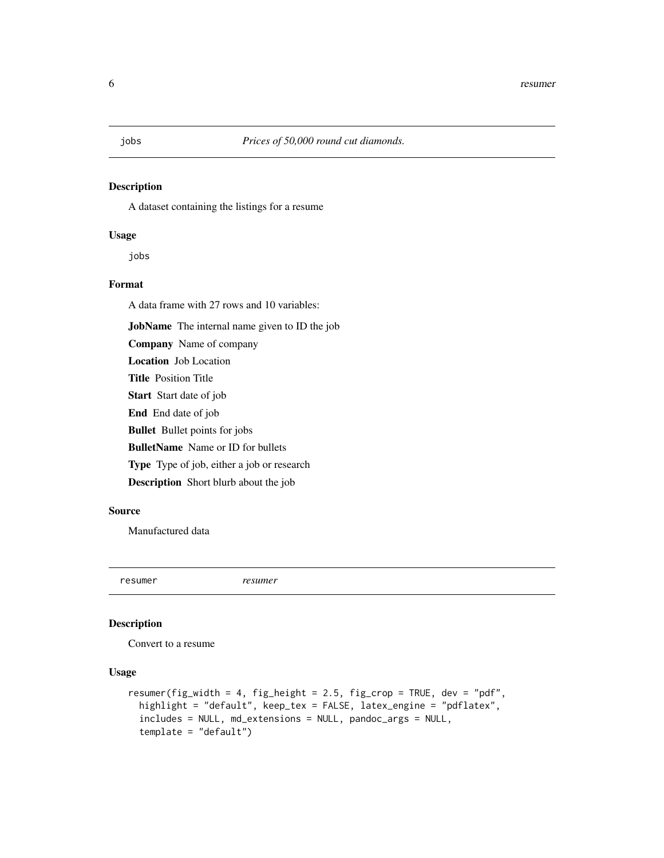#### <span id="page-5-0"></span>Description

A dataset containing the listings for a resume

#### Usage

jobs

#### Format

A data frame with 27 rows and 10 variables:

JobName The internal name given to ID the job

Company Name of company Location Job Location Title Position Title Start Start date of job End End date of job Bullet Bullet points for jobs BulletName Name or ID for bullets Type Type of job, either a job or research Description Short blurb about the job

#### Source

Manufactured data

resumer *resumer*

#### Description

Convert to a resume

#### Usage

```
resumer(fig_width = 4, fig_height = 2.5, fig_crop = TRUE, dev = "pdf",
 highlight = "default", keep_tex = FALSE, latex_engine = "pdflatex",
  includes = NULL, md_extensions = NULL, pandoc_args = NULL,
  template = "default")
```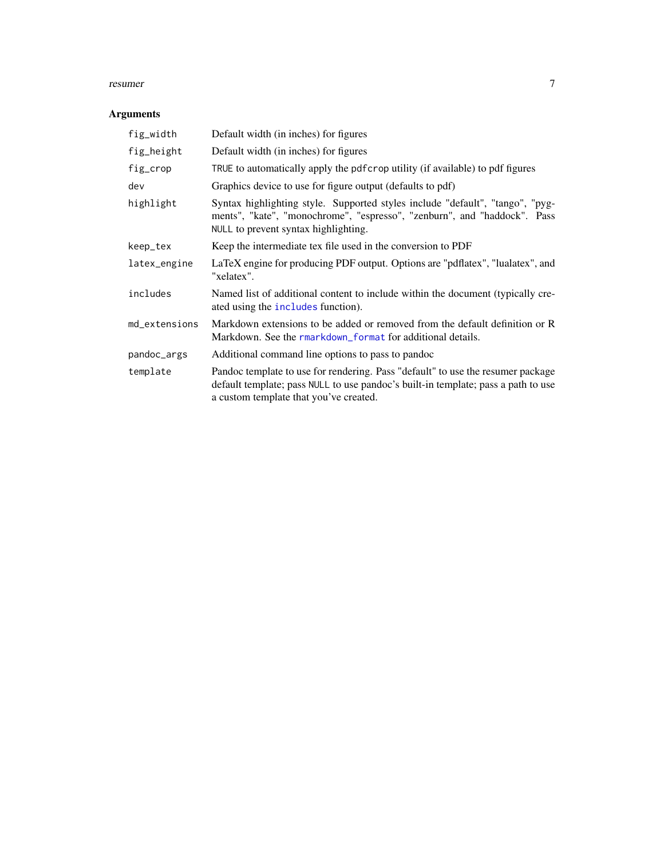#### <span id="page-6-0"></span>resumer 7

## Arguments

| fig_width     | Default width (in inches) for figures                                                                                                                                                                          |
|---------------|----------------------------------------------------------------------------------------------------------------------------------------------------------------------------------------------------------------|
| fig_height    | Default width (in inches) for figures                                                                                                                                                                          |
| fig_crop      | TRUE to automatically apply the pdf crop utility (if available) to pdf figures                                                                                                                                 |
| dev           | Graphics device to use for figure output (defaults to pdf)                                                                                                                                                     |
| highlight     | Syntax highlighting style. Supported styles include "default", "tango", "pyg-<br>ments", "kate", "monochrome", "espresso", "zenburn", and "haddock". Pass<br>NULL to prevent syntax highlighting.              |
| keep_tex      | Keep the intermediate tex file used in the conversion to PDF                                                                                                                                                   |
| latex_engine  | LaTeX engine for producing PDF output. Options are "pdflatex", "lualatex", and<br>"xelatex".                                                                                                                   |
| includes      | Named list of additional content to include within the document (typically cre-<br>ated using the includes function).                                                                                          |
| md_extensions | Markdown extensions to be added or removed from the default definition or R<br>Markdown. See the rmarkdown_format for additional details.                                                                      |
| pandoc_args   | Additional command line options to pass to pandoc                                                                                                                                                              |
| template      | Pandoc template to use for rendering. Pass "default" to use the resumer package<br>default template; pass NULL to use pandoc's built-in template; pass a path to use<br>a custom template that you've created. |